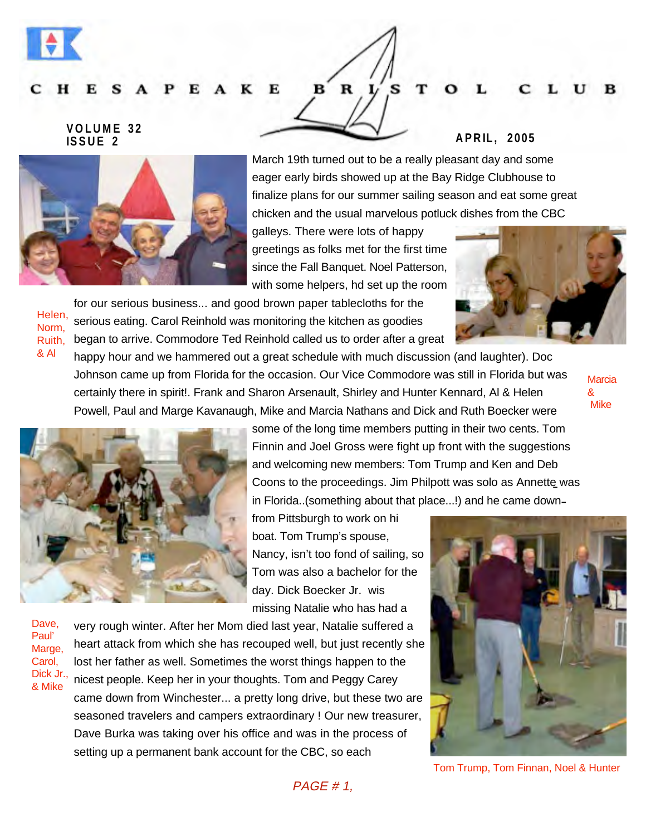#### к Е — н

# **VOLUME 32**



**ISSUE 2 APRIL, 2005**

March 19th turned out to be a really pleasant day and some eager early birds showed up at the Bay Ridge Clubhouse to finalize plans for our summer sailing season and eat some great chicken and the usual marvelous potluck dishes from the CBC

s

galleys. There were lots of happy greetings as folks met for the first time since the Fall Banquet. Noel Patterson, with some helpers, hd set up the room

for our serious business... and good brown paper tablecloths for the serious eating. Carol Reinhold was monitoring the kitchen as goodies began to arrive. Commodore Ted Reinhold called us to order after a great

happy hour and we hammered out a great schedule with much discussion (and laughter). Doc Johnson came up from Florida for the occasion. Our Vice Commodore was still in Florida but was certainly there in spirit!. Frank and Sharon Arsenault, Shirley and Hunter Kennard, Al & Helen Powell, Paul and Marge Kavanaugh, Mike and Marcia Nathans and Dick and Ruth Boecker were

B

 $\mathbf R$ 

**Marcia** & Mike



Coons to the proceedings. Jim Philpott was solo as Annette was - in Florida..(something about that place...!) and he came down some of the long time members putting in their two cents. Tom Finnin and Joel Gross were fight up front with the suggestions and welcoming new members: Tom Trump and Ken and Deb

from Pittsburgh to work on hi boat. Tom Trump's spouse, Nancy, isn't too fond of sailing, so Tom was also a bachelor for the day. Dick Boecker Jr. wis missing Natalie who has had a

Dave, Paul' Marge, Carol, Dick Jr., & Mike

Helen, Norm, Ruith, & Al

> very rough winter. After her Mom died last year, Natalie suffered a heart attack from which she has recouped well, but just recently she lost her father as well. Sometimes the worst things happen to the nicest people. Keep her in your thoughts. Tom and Peggy Carey came down from Winchester... a pretty long drive, but these two are seasoned travelers and campers extraordinary ! Our new treasurer, Dave Burka was taking over his office and was in the process of setting up a permanent bank account for the CBC, so each



Tom Trump, Tom Finnan, Noel & Hunter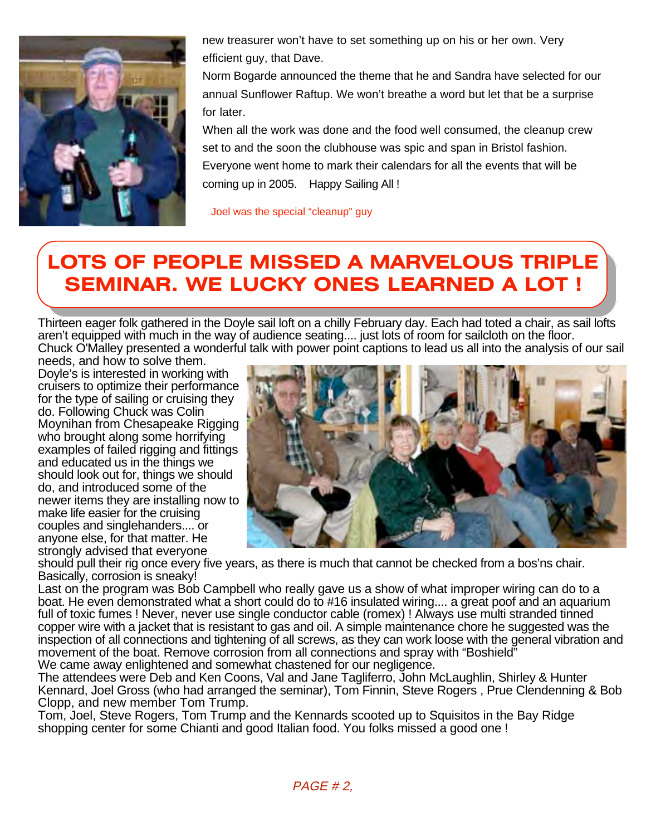

new treasurer won't have to set something up on his or her own. Very efficient guy, that Dave.

Norm Bogarde announced the theme that he and Sandra have selected for our annual Sunflower Raftup. We won't breathe a word but let that be a surprise for later.

When all the work was done and the food well consumed, the cleanup crew set to and the soon the clubhouse was spic and span in Bristol fashion. Everyone went home to mark their calendars for all the events that will be coming up in 2005. Happy Sailing All !

Joel was the special "cleanup" guy

## **LOTS OF PEOPLE MISSED A MARVELOUS TRIPLE SEMINAR. WE LUCKY ONES LEARNED A LOT !**

Thirteen eager folk gathered in the Doyle sail loft on a chilly February day. Each had toted a chair, as sail lofts aren't equipped with much in the way of audience seating.... just lots of room for sailcloth on the floor. Chuck O'Malley presented a wonderful talk with power point captions to lead us all into the analysis of our sail

needs, and how to solve them. Doyle's is interested in working with cruisers to optimize their performance for the type of sailing or cruising they do. Following Chuck was Colin Moynihan from Chesapeake Rigging who brought along some horrifying examples of failed rigging and fittings and educated us in the things we should look out for, things we should do, and introduced some of the newer items they are installing now to make life easier for the cruising couples and singlehanders.... or anyone else, for that matter. He strongly advised that everyone



should pull their rig once every five years, as there is much that cannot be checked from a bos'ns chair. Basically, corrosion is sneaky!

Last on the program was Bob Campbell who really gave us a show of what improper wiring can do to a boat. He even demonstrated what a short could do to #16 insulated wiring.... a great poof and an aquarium full of toxic fumes ! Never, never use single conductor cable (romex) ! Always use multi stranded tinned copper wire with a jacket that is resistant to gas and oil. A simple maintenance chore he suggested was the inspection of all connections and tightening of all screws, as they can work loose with the general vibration and movement of the boat. Remove corrosion from all connections and spray with "Boshield" We came away enlightened and somewhat chastened for our negligence.

The attendees were Deb and Ken Coons, Val and Jane Tagliferro, John McLaughlin, Shirley & Hunter Kennard, Joel Gross (who had arranged the seminar), Tom Finnin, Steve Rogers , Prue Clendenning & Bob Clopp, and new member Tom Trump.

Tom, Joel, Steve Rogers, Tom Trump and the Kennards scooted up to Squisitos in the Bay Ridge shopping center for some Chianti and good Italian food. You folks missed a good one !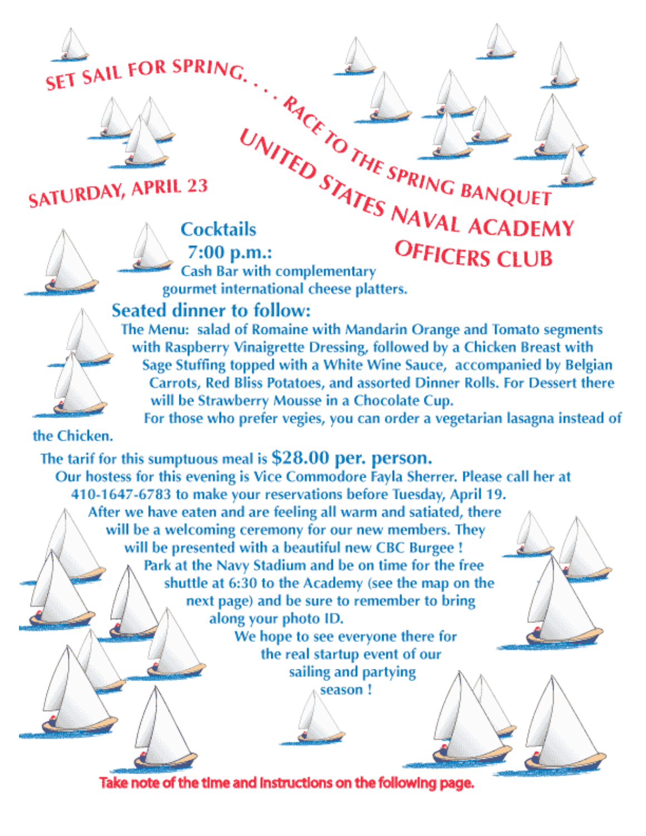



# **SATURDAY, APRIL 23**



UNITED STATES PRING BANQUE. **Cocktails**  $7:00$  p.m.: **Cash Bar with complementary** gourmet international cheese platters.



Sage Stuffing topped with a White Wine Sauce, accompanied by Belgian Carrots, Red Bliss Potatoes, and assorted Dinner Rolls. For Dessert there will be Strawberry Mousse in a Chocolate Cup. For those who prefer vegies, you can order a vegetarian lasagna instead of

with Raspberry Vinaigrette Dressing, followed by a Chicken Breast with

the Chicken.

### The tarif for this sumptuous meal is \$28.00 per. person.

Our hostess for this evening is Vice Commodore Fayla Sherrer. Please call her at 410-1647-6783 to make your reservations before Tuesday, April 19. After we have eaten and are feeling all warm and satiated, there will be a welcoming ceremony for our new members. They will be presented with a beautiful new CBC Burgee ! Park at the Navy Stadium and be on time for the free shuttle at 6:30 to the Academy (see the map on the next page) and be sure to remember to bring along your photo ID.

We hope to see everyone there for the real startup event of our sailing and partying season!

Take note of the time and instructions on the following page.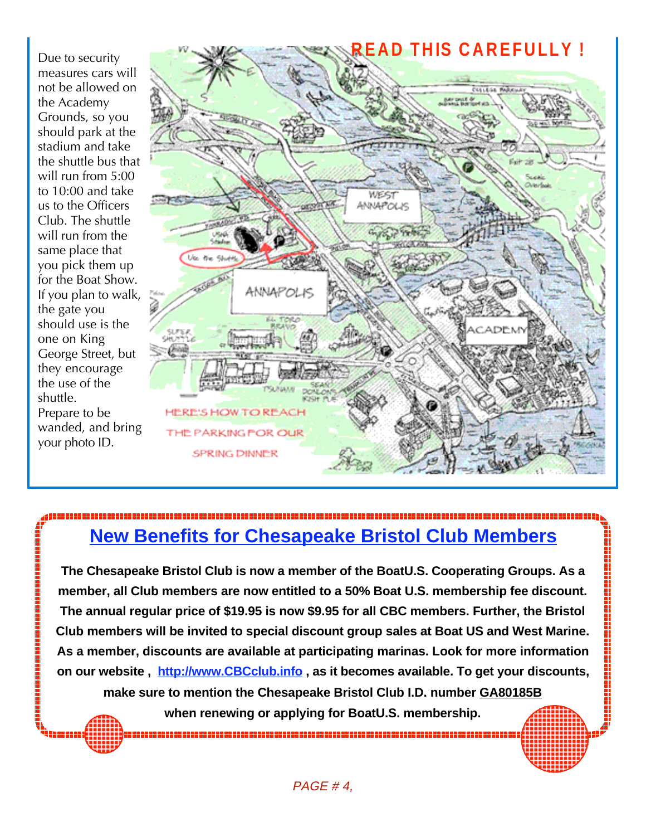Due to security measures cars will not be allowed on the Academy Grounds, so you should park at the stadium and take the shuttle bus that will run from 5:00 to 10:00 and take us to the Officers Club. The shuttle will run from the same place that you pick them up for the Boat Show. If you plan to walk, the gate you should use is the one on King George Street, but they encourage the use of the shuttle. Prepare to be wanded, and bring your photo ID.



### **New Benefits for Chesapeake Bristol Club Members**

**The Chesapeake Bristol Club is now a member of the BoatU.S. Cooperating Groups. As a member, all Club members are now entitled to a 50% Boat U.S. membership fee discount. The annual regular price of \$19.95 is now \$9.95 for all CBC members. Further, the Bristol Club members will be invited to special discount group sales at Boat US and West Marine. As a member, discounts are available at participating marinas. Look for more information on our website , http://www.CBCclub.info , as it becomes available. To get your discounts, make sure to mention the Chesapeake Bristol Club I.D. number GA80185B**

**when renewing or applying for BoatU.S. membership.**

PAGE # 4,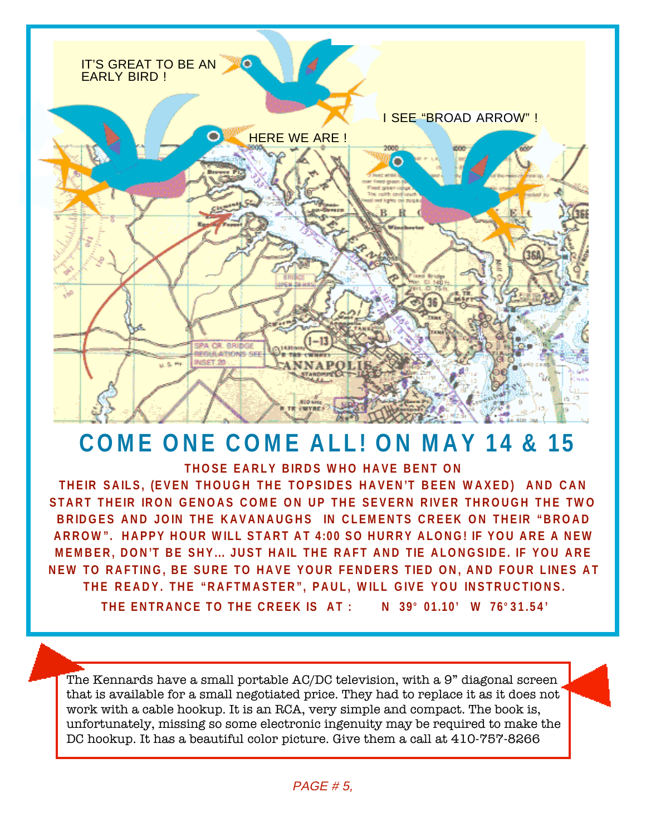

# **COME ONE COME ALL! ON MAY 14 & 15**

**THOSE EARLY BIRDS WHO HAVE BENT ON** 

**THEIR SAILS, (EVEN THOUGH THE TOPSIDES HAVEN'T BEEN WAXED) AND CAN START THEIR IRON GENOAS COME ON UP THE SEVERN RIVER THROUGH THE TWO BRIDGES AND JOIN THE KAVANAUGHS IN CLEMENTS CREEK ON THEIR "BROAD ARROW". HAPPY HOUR WILL START AT 4:00 SO HURRY ALONG! IF YOU ARE A NEW MEMBER, DON'T BE SHY... JUST HAIL THE RAFT AND TIE ALONGSIDE. IF YOU ARE NEW TO RAFTING, BE SURE TO HAVE YOUR FENDERS TIED ON, AND FOUR LINES AT THE READY. THE "RAFTMASTER", PAUL, WILL GIVE YOU INSTRUCTIONS.**

**THE ENTRANCE TO THE CREEK IS AT : N 39° 01.10' W 76° 31.54'** 

The Kennards have a small portable AC/DC television, with a 9" diagonal screen that is available for a small negotiated price. They had to replace it as it does not work with a cable hookup. It is an RCA, very simple and compact. The book is, unfortunately, missing so some electronic ingenuity may be required to make the DC hookup. It has a beautiful color picture. Give them a call at 410-757-8266